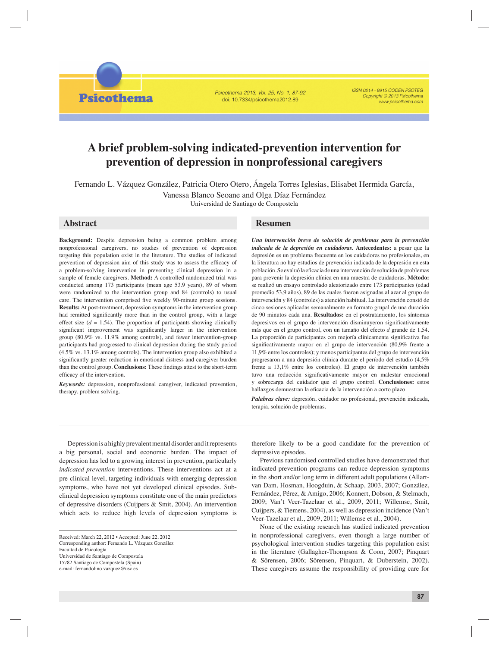Psicothema 2013, Vol. 25, No. 1, 87-92 doi: 10.7334/psicothema2012.89

ISSN 0214 - 9915 CODEN PSOTEG Copyright © 2013 Psicothema www.psicothema.com

# **A brief problem-solving indicated-prevention intervention for prevention of depression in nonprofessional caregivers**

Fernando L. Vázquez González, Patricia Otero Otero, Ángela Torres Iglesias, Elisabet Hermida García, Vanessa Blanco Seoane and Olga Díaz Fernández

Universidad de Santiago de Compostela

# **Abstract**

**Psicothema** 

**Background:** Despite depression being a common problem among nonprofessional caregivers, no studies of prevention of depression targeting this population exist in the literature. The studies of indicated prevention of depression aim of this study was to assess the efficacy of a problem-solving intervention in preventing clinical depression in a sample of female caregivers. **Method:** A controlled randomized trial was conducted among 173 participants (mean age 53.9 years), 89 of whom were randomized to the intervention group and 84 (controls) to usual care. The intervention comprised five weekly 90-minute group sessions. **Results:** At post-treatment, depression symptoms in the intervention group had remitted significantly more than in the control group, with a large effect size  $(d = 1.54)$ . The proportion of participants showing clinically significant improvement was significantly larger in the intervention group (80.9% vs. 11.9% among controls), and fewer intervention-group participants had progressed to clinical depression during the study period (4.5% vs. 13.1% among controls). The intervention group also exhibited a significantly greater reduction in emotional distress and caregiver burden than the control group. **Conclusions:** These findings attest to the short-term efficacy of the intervention.

*Keywords:* depression, nonprofessional caregiver, indicated prevention, therapy, problem solving.

# **Resumen**

*Una intervención breve de solución de problemas para la prevención indicada de la depresión en cuidadoras.* **Antecedentes:** a pesar que la depresión es un problema frecuente en los cuidadores no profesionales, en la literatura no hay estudios de prevención indicada de la depresión en esta población. Se evaluó la eficacia de una intervención de solución de problemas para prevenir la depresión clínica en una muestra de cuidadoras. **Método:** se realizó un ensayo controlado aleatorizado entre 173 participantes (edad promedio 53,9 años), 89 de las cuales fueron asignadas al azar al grupo de intervención y 84 (controles) a atención habitual. La intervención constó de cinco sesiones aplicadas semanalmente en formato grupal de una duración de 90 minutos cada una. **Resultados:** en el postratamiento, los síntomas depresivos en el grupo de intervención disminuyeron significativamente más que en el grupo control, con un tamaño del efecto *d* grande de 1,54. La proporción de participantes con mejoría clínicamente significativa fue significativamente mayor en el grupo de intervención (80,9% frente a 11,9% entre los controles); y menos participantes del grupo de intervención progresaron a una depresión clínica durante el período del estudio (4,5% frente a 13,1% entre los controles). El grupo de intervención también tuvo una reducción significativamente mayor en malestar emocional y sobrecarga del cuidador que el grupo control. **Conclusiones:** estos hallazgos demuestran la eficacia de la intervención a corto plazo.

*Palabras clave:* depresión, cuidador no profesional, prevención indicada, terapia, solución de problemas.

Depression is a highly prevalent mental disorder and it represents a big personal, social and economic burden. The impact of depression has led to a growing interest in prevention, particularly *indicated-prevention* interventions. These interventions act at a pre-clinical level, targeting individuals with emerging depression symptoms, who have not yet developed clinical episodes. Subclinical depression symptoms constitute one of the main predictors of depressive disorders (Cuijpers & Smit, 2004). An intervention which acts to reduce high levels of depression symptoms is

Universidad de Santiago de Compostela

15782 Santiago de Compostela (Spain)

e-mail: fernandolino.vazquez@usc.es

therefore likely to be a good candidate for the prevention of depressive episodes.

Previous randomised controlled studies have demonstrated that indicated-prevention programs can reduce depression symptoms in the short and/or long term in different adult populations (Allartvan Dam, Hosman, Hoogduin, & Schaap, 2003, 2007; González, Fernández, Pérez, & Amigo, 2006; Konnert, Dobson, & Stelmach, 2009; Van't Veer-Tazelaar et al., 2009, 2011; Willemse, Smit, Cuijpers, & Tiemens, 2004), as well as depression incidence (Van't Veer-Tazelaar et al., 2009, 2011; Willemse et al., 2004).

None of the existing research has studied indicated prevention in nonprofessional caregivers, even though a large number of psychological intervention studies targeting this population exist in the literature (Gallagher-Thompson & Coon, 2007; Pinquart & Sörensen, 2006; Sörensen, Pinquart, & Duberstein, 2002). These caregivers assume the responsibility of providing care for

Received: March 22, 2012 • Accepted: June 22, 2012 Corresponding author: Fernando L. Vázquez González Facultad de Psicología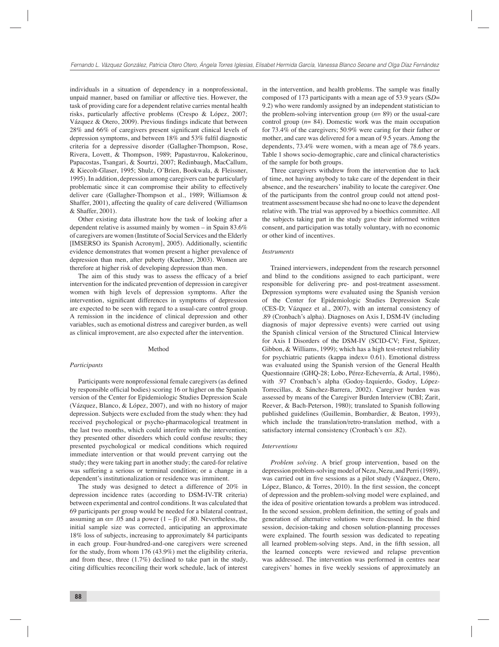individuals in a situation of dependency in a nonprofessional, unpaid manner, based on familiar or affective ties. However, the task of providing care for a dependent relative carries mental health risks, particularly affective problems (Crespo & López, 2007; Vázquez & Otero, 2009). Previous findings indicate that between  $28\%$  and  $66\%$  of caregivers present significant clinical levels of depression symptoms, and between 18% and 53% fulfi l diagnostic criteria for a depressive disorder (Gallagher-Thompson, Rose, Rivera, Lovett, & Thompson, 1989; Papastavrou, Kalokerinou, Papacostas, Tsangari, & Sourtzi, 2007; Redinbaugh, MacCallum, & Kiecolt-Glaser, 1995; Shulz, O'Brien, Bookwala, & Fleissner, 1995). In addition, depression among caregivers can be particularly problematic since it can compromise their ability to effectively deliver care (Gallagher-Thompson et al., 1989; Williamson & Shaffer, 2001), affecting the quality of care delivered (Williamson & Shaffer, 2001).

Other existing data illustrate how the task of looking after a dependent relative is assumed mainly by women – in Spain 83.6% of caregivers are women (Institute of Social Services and the Elderly [IMSERSO its Spanish Acronym], 2005). Additionally, scientific evidence demonstrates that women present a higher prevalence of depression than men, after puberty (Kuehner, 2003). Women are therefore at higher risk of developing depression than men.

The aim of this study was to assess the efficacy of a brief intervention for the indicated prevention of depression in caregiver women with high levels of depression symptoms. After the intervention, significant differences in symptoms of depression are expected to be seen with regard to a usual-care control group. A remission in the incidence of clinical depression and other variables, such as emotional distress and caregiver burden, as well as clinical improvement, are also expected after the intervention.

## Method

## *Participants*

Participants were nonprofessional female caregivers (as defined by responsible official bodies) scoring 16 or higher on the Spanish version of the Center for Epidemiologic Studies Depression Scale (Vázquez, Blanco, & López, 2007), and with no history of major depression. Subjects were excluded from the study when: they had received psychological or psycho-pharmacological treatment in the last two months, which could interfere with the intervention; they presented other disorders which could confuse results; they presented psychological or medical conditions which required immediate intervention or that would prevent carrying out the study; they were taking part in another study; the cared-for relative was suffering a serious or terminal condition; or a change in a dependent's institutionalization or residence was imminent.

The study was designed to detect a difference of 20% in depression incidence rates (according to DSM-IV-TR criteria) between experimental and control conditions. It was calculated that 69 participants per group would be needed for a bilateral contrast, assuming an  $\alpha$ = .05 and a power (1 –  $\beta$ ) of .80. Nevertheless, the initial sample size was corrected, anticipating an approximate 18% loss of subjects, increasing to approximately 84 participants in each group. Four-hundred-and-one caregivers were screened for the study, from whom 176 (43.9%) met the eligibility criteria, and from these, three (1.7%) declined to take part in the study, citing difficulties reconciling their work schedule, lack of interest

in the intervention, and health problems. The sample was finally composed of 173 participants with a mean age of 53.9 years (S*D*= 9.2) who were randomly assigned by an independent statistician to the problem-solving intervention group (*n*= 89) or the usual-care control group (*n*= 84). Domestic work was the main occupation for 73.4% of the caregivers; 50.9% were caring for their father or mother, and care was delivered for a mean of 9.5 years. Among the dependents, 73.4% were women, with a mean age of 78.6 years. Table 1 shows socio-demographic, care and clinical characteristics of the sample for both groups.

Three caregivers withdrew from the intervention due to lack of time, not having anybody to take care of the dependent in their absence, and the researchers' inability to locate the caregiver. One of the participants from the control group could not attend posttreatment assessment because she had no one to leave the dependent relative with. The trial was approved by a bioethics committee. All the subjects taking part in the study gave their informed written consent, and participation was totally voluntary, with no economic or other kind of incentives.

#### *Instruments*

Trained interviewers, independent from the research personnel and blind to the conditions assigned to each participant, were responsible for delivering pre- and post-treatment assessment. Depression symptoms were evaluated using the Spanish version of the Center for Epidemiologic Studies Depression Scale (CES-D; Vázquez et al., 2007), with an internal consistency of .89 (Cronbach's alpha). Diagnoses on Axis I, DSM-IV (including diagnosis of major depressive events) were carried out using the Spanish clinical version of the Structured Clinical Interview for Axis I Disorders of the DSM-IV (SCID-CV; First, Spitzer, Gibbon, & Williams, 1999); which has a high test-retest reliability for psychiatric patients (kappa index= 0.61). Emotional distress was evaluated using the Spanish version of the General Health Questionnaire (GHQ-28; Lobo, Pérez-Echeverría, & Artal, 1986), with .97 Cronbach's alpha (Godoy-Izquierdo, Godoy, López-Torrecillas, & Sánchez-Barrera, 2002). Caregiver burden was assessed by means of the Caregiver Burden Interview (CBI; Zarit, Reever, & Bach-Peterson, 1980); translated to Spanish following published guidelines (Guillemin, Bombardier, & Beaton, 1993), which include the translation/retro-translation method, with a satisfactory internal consistency (Cronbach's  $\alpha$ = .82).

# *Interventions*

*Problem solving.* A brief group intervention, based on the depression problem-solving model of Nezu, Nezu, and Perri (1989), was carried out in five sessions as a pilot study (Vázquez, Otero, López, Blanco, & Torres, 2010). In the first session, the concept of depression and the problem-solving model were explained, and the idea of positive orientation towards a problem was introduced. In the second session, problem definition, the setting of goals and generation of alternative solutions were discussed. In the third session, decision-taking and chosen solution-planning processes were explained. The fourth session was dedicated to repeating all learned problem-solving steps. And, in the fifth session, all the learned concepts were reviewed and relapse prevention was addressed. The intervention was performed in centres near caregivers' homes in five weekly sessions of approximately an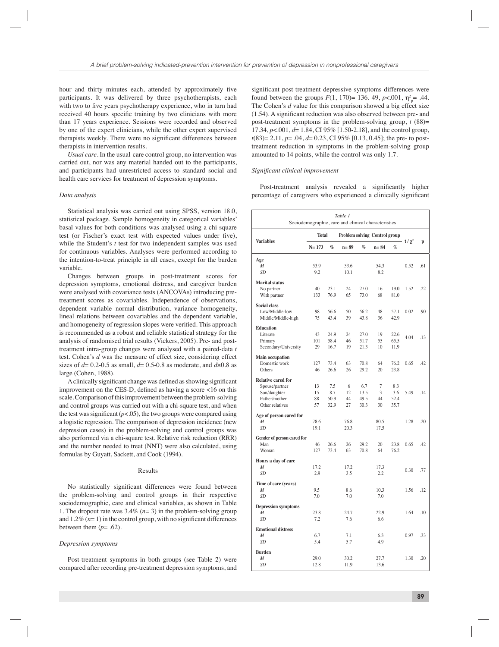hour and thirty minutes each, attended by approximately five participants. It was delivered by three psychotherapists, each with two to five years psychotherapy experience, who in turn had received 40 hours specific training by two clinicians with more than 17 years experience. Sessions were recorded and observed by one of the expert clinicians, while the other expert supervised therapists weekly. There were no significant differences between therapists in intervention results.

*Usual care.* In the usual-care control group, no intervention was carried out, nor was any material handed out to the participants, and participants had unrestricted access to standard social and health care services for treatment of depression symptoms.

# *Data analysis*

Statistical analysis was carried out using SPSS, version 18.0, statistical package. Sample homogeneity in categorical variables' basal values for both conditions was analysed using a chi-square test (or Fischer's exact test with expected values under five), while the Student's *t* test for two independent samples was used for continuous variables. Analyses were performed according to the intention-to-treat principle in all cases, except for the burden variable.

Changes between groups in post-treatment scores for depression symptoms, emotional distress, and caregiver burden were analysed with covariance tests (ANCOVAs) introducing pretreatment scores as covariables. Independence of observations, dependent variable normal distribution, variance homogeneity, lineal relations between covariables and the dependent variable, and homogeneity of regression slopes were verified. This approach is recommended as a robust and reliable statistical strategy for the analysis of randomised trial results (Vickers, 2005). Pre- and posttreatment intra-group changes were analysed with a paired-data *t* test. Cohen's *d* was the measure of effect size, considering effect sizes of  $d= 0.2-0.5$  as small,  $d= 0.5-0.8$  as moderate, and  $d\ge 0.8$  as large (Cohen, 1988).

A clinically significant change was defined as showing significant improvement on the CES-D, defined as having a score  $\lt 16$  on this scale. Comparison of this improvement between the problem-solving and control groups was carried out with a chi-square test, and when the test was significant  $(p<.05)$ , the two groups were compared using a logistic regression. The comparison of depression incidence (new depression cases) in the problem-solving and control groups was also performed via a chi-square test. Relative risk reduction (RRR) and the number needed to treat (NNT) were also calculated, using formulas by Guyatt, Sackett, and Cook (1994).

# Results

No statistically significant differences were found between the problem-solving and control groups in their respective sociodemographic, care and clinical variables, as shown in Table 1. The dropout rate was 3.4% (*n*= 3) in the problem-solving group and  $1.2\%$  ( $n=1$ ) in the control group, with no significant differences between them  $(p=.62)$ .

#### *Depression symptoms*

Post-treatment symptoms in both groups (see Table 2) were compared after recording pre-treatment depression symptoms, and

significant post-treatment depressive symptoms differences were found between the groups  $F(1, 170) = 136$ . 49,  $p < .001$ ,  $\eta_{\text{p}}^2 = .44$ . The Cohen's *d* value for this comparison showed a big effect size  $(1.54)$ . A significant reduction was also observed between pre- and post-treatment symptoms in the problem-solving group,  $t(88)$ = 17.34, *p*<.001, *d*= 1.84, CI 95% [1.50-2.18], and the control group, *t*(83)= 2.11, *p*= .04, *d*= 0.23, CI 95% [0.13, 0.45]; the pre- to posttreatment reduction in symptoms in the problem-solving group amounted to 14 points, while the control was only 1.7.

#### *Signifi cant clinical improvement*

Post-treatment analysis revealed a significantly higher percentage of caregivers who experienced a clinically significant

| Table 1<br>Sociodemographic, care and clinical characteristics                                  |                              |                            |                               |                             |                                 |                            |             |     |  |  |  |
|-------------------------------------------------------------------------------------------------|------------------------------|----------------------------|-------------------------------|-----------------------------|---------------------------------|----------------------------|-------------|-----|--|--|--|
|                                                                                                 | <b>Total</b>                 |                            | Problem solving Control group |                             |                                 |                            |             |     |  |  |  |
| <b>Variables</b>                                                                                | $N = 173$<br>$\mathcal{O}_0$ |                            | $n = 89$<br>$\mathbf{q}_0$    |                             | $n = 84$<br>$\mathcal{O}_0$     |                            | t/ $\chi^2$ | p   |  |  |  |
| Age<br>M<br>SD                                                                                  | 53.9<br>9.2                  |                            | 53.6<br>10.1                  |                             | 54.3<br>8.2                     |                            | 0.52        | .61 |  |  |  |
| <b>Marital</b> status<br>No partner<br>With partner                                             | 40<br>133                    | 23.1<br>76.9               | 24<br>65                      | 27.0<br>73.0                | 16<br>68                        | 19.0<br>81.0               | 1.52        | .22 |  |  |  |
| <b>Social class</b><br>Low/Middle-low<br>Middle/Middle-high                                     | 98<br>75                     | 56.6<br>43.4               | 50<br>39                      | 56.2<br>43.8                | 48<br>36                        | 57.1<br>42.9               | 0.02        | .90 |  |  |  |
| <b>Education</b><br>Literate<br>Primary<br>Secondary/University                                 | 43<br>101<br>29              | 24.9<br>58.4<br>16.7       | 24<br>46<br>19                | 27.0<br>51.7<br>21.3        | 19<br>55<br>10                  | 22.6<br>65.5<br>11.9       | 4.04        | .13 |  |  |  |
| <b>Main occupation</b><br>Domestic work<br>Others                                               | 127<br>46                    | 73.4<br>26.6               | 63<br>26                      | 70.8<br>29.2                | 64<br>20                        | 76.2<br>23.8               | 0.65        | .42 |  |  |  |
| <b>Relative cared for</b><br>Spouse/partner<br>Son/daughter<br>Father/mother<br>Other relatives | 13<br>15<br>88<br>57         | 7.5<br>8.7<br>50.9<br>32.9 | 6<br>12<br>44<br>27           | 6.7<br>13.5<br>49.5<br>30.3 | $\overline{7}$<br>3<br>44<br>30 | 8.3<br>3.6<br>52.4<br>35.7 | 5.49        | .14 |  |  |  |
| Age of person cared for<br>$\boldsymbol{M}$<br><b>SD</b>                                        | 78.6<br>19.1                 |                            | 76.8<br>20.3                  |                             | 80.5<br>17.5                    |                            | 1.28        | .20 |  |  |  |
| Gender of person cared for<br>Man<br>Woman                                                      | 46<br>127                    | 26.6<br>73.4               | 26<br>63                      | 29.2<br>70.8                | 20<br>64                        | 23.8<br>76.2               | 0.65        | .42 |  |  |  |
| Hours a day of care<br>$\boldsymbol{M}$<br><b>SD</b>                                            | 17.2<br>2.9                  |                            | 17.2<br>3.5                   |                             | 17.3<br>2.2                     |                            | 0.30        | .77 |  |  |  |
| Time of care (years)<br>$\overline{M}$<br><b>SD</b>                                             | 9.5<br>7.0                   |                            | 8.6<br>7.0                    |                             | 10.3<br>7.0                     |                            | 1.56        | .12 |  |  |  |
| <b>Depression symptoms</b><br>$\boldsymbol{M}$<br><b>SD</b>                                     | 23.8<br>7.2                  |                            | 24.7<br>7.6                   |                             | 22.9<br>6.6                     |                            | 1.64        | .10 |  |  |  |
| <b>Emotional distress</b><br>M<br><b>SD</b>                                                     | 6.7<br>5.4                   |                            | 7.1<br>5.7                    |                             | 6.3<br>4.9                      |                            | 0.97        | .33 |  |  |  |
| <b>Burden</b><br>$\boldsymbol{M}$<br><b>SD</b>                                                  | 29.0<br>12.8                 |                            | 30.2<br>11.9                  |                             | 27.7<br>13.6                    |                            | 1.30        | .20 |  |  |  |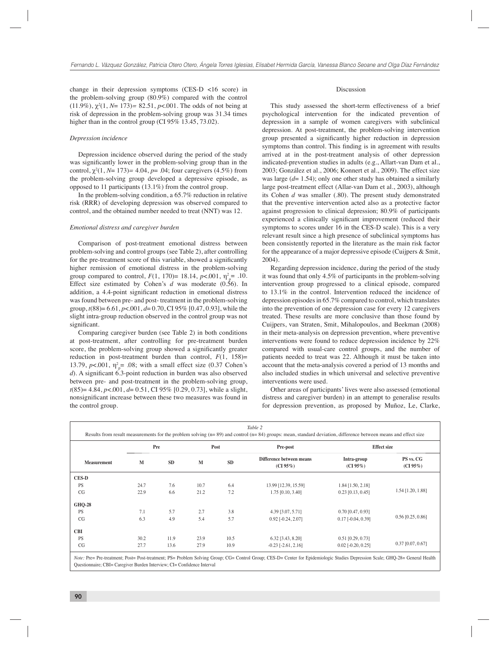change in their depression symptoms (CES-D <16 score) in the problem-solving group (80.9%) compared with the control (11.9%), χ*<sup>2</sup>* (1, *N*= 173)*=* 82.51, *p*<.001. The odds of not being at risk of depression in the problem-solving group was 31.34 times higher than in the control group (CI 95% 13.45, 73.02).

## *Depression incidence*

Depression incidence observed during the period of the study was significantly lower in the problem-solving group than in the control, χ<sup>2</sup> (1, *N*= 173)*=* 4.04, *p*= .04; four caregivers (4.5%) from the problem-solving group developed a depressive episode, as opposed to 11 participants (13.1%) from the control group.

In the problem-solving condition, a 65.7% reduction in relative risk (RRR) of developing depression was observed compared to control, and the obtained number needed to treat (NNT) was 12.

#### *Emotional distress and caregiver burden*

Comparison of post-treatment emotional distress between problem-solving and control groups (see Table 2), after controlling for the pre-treatment score of this variable, showed a significantly higher remission of emotional distress in the problem-solving group compared to control,  $F(1, 170) = 18.14$ ,  $p < .001$ ,  $\eta_p^2 = .10$ . Effect size estimated by Cohen's *d* was moderate (0.56). In addition, a 4.4-point significant reduction in emotional distress was found between pre- and post- treatment in the problem-solving group, *t*(88)= 6.61, *p*<.001, *d*= 0.70, CI 95% [0.47, 0.93], while the slight intra-group reduction observed in the control group was not significant.

Comparing caregiver burden (see Table 2) in both conditions at post-treatment, after controlling for pre-treatment burden score, the problem-solving group showed a significantly greater reduction in post-treatment burden than control, *F*(1, 158)= 13.79,  $p < .001$ ,  $\eta^2 = .08$ ; with a small effect size (0.37 Cohen's *d*). A significant 6.3-point reduction in burden was also observed between pre- and post-treatment in the problem-solving group, *t*(85)= 4.84, *p*<.001, *d*= 0.51, CI 95% [0.29, 0.73], while a slight, nonsignificant increase between these two measures was found in the control group.

# Discussion

This study assessed the short-term effectiveness of a brief psychological intervention for the indicated prevention of depression in a sample of women caregivers with subclinical depression. At post-treatment, the problem-solving intervention group presented a significantly higher reduction in depression symptoms than control. This finding is in agreement with results arrived at in the post-treatment analysis of other depression indicated-prevention studies in adults (e.g., Allart-van Dam et al., 2003; González et al., 2006; Konnert et al., 2009). The effect size was large (*d*= 1.54); only one other study has obtained a similarly large post-treatment effect (Allar-van Dam et al., 2003), although its Cohen *d* was smaller (.80). The present study demonstrated that the preventive intervention acted also as a protective factor against progression to clinical depression; 80.9% of participants experienced a clinically significant improvement (reduced their symptoms to scores under 16 in the CES-D scale). This is a very relevant result since a high presence of subclinical symptoms has been consistently reported in the literature as the main risk factor for the appearance of a major depressive episode (Cuijpers & Smit, 2004).

Regarding depression incidence, during the period of the study it was found that only 4.5% of participants in the problem-solving intervention group progressed to a clinical episode, compared to 13.1% in the control. Intervention reduced the incidence of depression episodes in 65.7% compared to control, which translates into the prevention of one depression case for every 12 caregivers treated. These results are more conclusive than those found by Cuijpers, van Straten, Smit, Mihalopoulos, and Beekman (2008) in their meta-analysis on depression prevention, where preventive interventions were found to reduce depression incidence by 22% compared with usual-care control groups, and the number of patients needed to treat was 22. Although it must be taken into account that the meta-analysis covered a period of 13 months and also included studies in which universal and selective preventive interventions were used.

Other areas of participants' lives were also assessed (emotional distress and caregiver burden) in an attempt to generalise results for depression prevention, as proposed by Muñoz, Le, Clarke,

| Table 2<br>Results from result measurements for the problem solving $(n=89)$ and control $(n=84)$ groups: mean, standard deviation, difference between means and effect size |            |           |            |           |                                         |                                                 |                          |  |  |  |  |  |
|------------------------------------------------------------------------------------------------------------------------------------------------------------------------------|------------|-----------|------------|-----------|-----------------------------------------|-------------------------------------------------|--------------------------|--|--|--|--|--|
|                                                                                                                                                                              | Pre        |           | Post       |           | Pre-post                                | <b>Effect</b> size                              |                          |  |  |  |  |  |
| <b>Measurement</b>                                                                                                                                                           | M          | <b>SD</b> | M          | <b>SD</b> | Difference between means<br>$(CI 95\%)$ | Intra-group<br>(CI 95%)                         | PS vs. CG<br>$(CI 95\%)$ |  |  |  |  |  |
| <b>CES-D</b>                                                                                                                                                                 |            |           |            |           |                                         |                                                 |                          |  |  |  |  |  |
| <b>PS</b>                                                                                                                                                                    | 24.7       | 7.6       | 10.7       | 6.4       | 13.99 [12.39, 15.59]                    | $1.84$ [1.50, 2.18]                             | 1.54 [1.20, 1.88]        |  |  |  |  |  |
| CG                                                                                                                                                                           | 22.9       | 6.6       | 21.2       | 7.2       | 1.75 [0.10, 3.40]                       | $0.23$ [0.13, 0.45]                             |                          |  |  |  |  |  |
| <b>GHQ-28</b>                                                                                                                                                                |            |           |            |           |                                         |                                                 |                          |  |  |  |  |  |
| <b>PS</b>                                                                                                                                                                    | 7.1        | 5.7       | 2.7        | 3.8       | 4.39 [3.07, 5.71]                       | $0.70$ [0.47, 0.93]                             |                          |  |  |  |  |  |
| CG                                                                                                                                                                           | 6.3<br>4.9 |           | 5.7<br>5.4 |           | $0.92$ [ $-0.24$ , $2.07$ ]             | $0.17$ [-0.04, 0.39]                            | $0.56$ [0.25, 0.86]      |  |  |  |  |  |
| <b>CBI</b>                                                                                                                                                                   |            |           |            |           |                                         |                                                 |                          |  |  |  |  |  |
| <b>PS</b>                                                                                                                                                                    | 30.2       | 11.9      | 23.9       | 10.5      | 6.32 [3.43, 8.20]                       | $0.51$ [0.29, 0.73]                             |                          |  |  |  |  |  |
| CG                                                                                                                                                                           | 27.7       | 13.6      | 27.9       | 10.9      | $-0.23$ [ $-2.61$ , $2.16$ ]            | $0.37$ [0.07, 0.67]<br>$0.02$ [ $-0.20, 0.25$ ] |                          |  |  |  |  |  |

*Note:* Pre= Pre-treatment; Post= Post-treatment; PS= Problem Solving Group; CG= Control Group; CES-D= Center for Epidemiologic Studies Depression Scale; GHQ-28= General Health Questionnaire; CBI= Caregiver Burden Interview; CI= Confidence Interval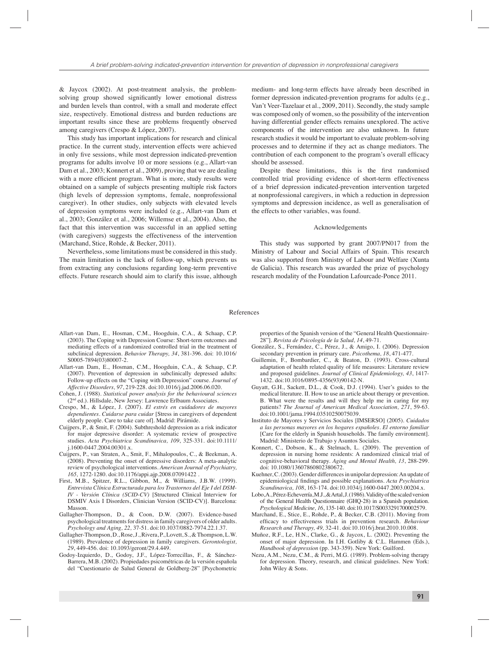& Jaycox (2002). At post-treatment analysis, the problemsolving group showed significantly lower emotional distress and burden levels than control, with a small and moderate effect size, respectively. Emotional distress and burden reductions are important results since these are problems frequently observed among caregivers (Crespo & López, 2007).

This study has important implications for research and clinical practice. In the current study, intervention effects were achieved in only five sessions, while most depression indicated-prevention programs for adults involve 10 or more sessions (e.g., Allart-van Dam et al., 2003; Konnert et al., 2009), proving that we are dealing with a more efficient program. What is more, study results were obtained on a sample of subjects presenting multiple risk factors (high levels of depression symptoms, female, nonprofessional caregiver). In other studies, only subjects with elevated levels of depression symptoms were included (e.g., Allart-van Dam et al., 2003; González et al., 2006; Willemse et al., 2004). Also, the fact that this intervention was successful in an applied setting (with caregivers) suggests the effectiveness of the intervention (Marchand, Stice, Rohde, & Becker, 2011).

Nevertheless, some limitations must be considered in this study. The main limitation is the lack of follow-up, which prevents us from extracting any conclusions regarding long-term preventive effects. Future research should aim to clarify this issue, although

medium- and long-term effects have already been described in former depression indicated-prevention programs for adults (e.g., Van't Veer-Tazelaar et al., 2009, 2011). Secondly, the study sample was composed only of women, so the possibility of the intervention having differential gender effects remains unexplored. The active components of the intervention are also unknown. In future research studies it would be important to evaluate problem-solving processes and to determine if they act as change mediators. The contribution of each component to the program's overall efficacy should be assessed.

Despite these limitations, this is the first randomised controlled trial providing evidence of short-term effectiveness of a brief depression indicated-prevention intervention targeted at nonprofessional caregivers, in which a reduction in depression symptoms and depression incidence, as well as generalisation of the effects to other variables, was found.

# Acknowledgements

This study was supported by grant 2007/PN017 from the Ministry of Labour and Social Affairs of Spain. This research was also supported from Ministry of Labour and Welfare (Xunta de Galicia). This research was awarded the prize of psychology research modality of the Foundation Lafourcade-Ponce 2011.

## References

- Allart-van Dam, E., Hosman, C.M., Hoogduin, C.A., & Schaap, C.P. (2003). The Coping with Depression Course: Short-term outcomes and mediating effects of a randomized controlled trial in the treatment of subclinical depression. *Behavior Therapy, 34*, 381-396. doi: 10.1016/ S0005-7894(03)80007-2.
- Allart-van Dam, E., Hosman, C.M., Hoogduin, C.A., & Schaap, C.P. (2007). Prevention of depression in subclinically depressed adults: Follow-up effects on the "Coping with Depression" course. *Journal of Affective Disorders, 97*, 219-228. doi:10.1016/j.jad.2006.06.020.
- Cohen, J. (1988). *Statistical power analysis for the behavioural sciences*  (2nd ed.). Hillsdale, New Jersey: Lawrence Erlbaum Associates.
- Crespo, M., & López, J. (2007). *El estrés en cuidadores de mayores dependientes. Cuidarse para cuidar* [Stress in caregivers of dependent elderly people. Care to take care of]. Madrid: Pirámide.
- Cuijpers, P., & Smit, F. (2004). Subthreshold depression as a risk indicator for major depressive disorder: A systematic review of prospective studies. *Acta Psychiatrica Scandinavica, 109*, 325-331. doi:10.1111/ j.1600-0447.2004.00301.x.
- Cuijpers, P., van Straten, A., Smit, F., Mihalopoulos, C., & Beekman, A. (2008). Preventing the onset of depressive disorders: A meta-analytic review of psychological interventions. *American Journal of Psychiatry, 165,* 1272-1280. doi:10.1176/appi.ajp.2008.07091422 .
- First, M.B., Spitzer, R.L., Gibbon, M., & Williams, J.B.W. (1999). *Entrevista Clínica Estructurada para los Trastornos del Eje I del DSM-IV - Versión Clínica (SCID-CV)* [Structured Clinical Interview for DSMIV Axis I Disorders, Clinician Version (SCID-CV)]. Barcelona: Masson.
- Gallagher-Thompson, D., & Coon, D.W. (2007). Evidence-based psychological treatments for distress in family caregivers of older adults. *Psychology and Aging, 22,* 37-51. doi:10.1037/0882-7974.22.1.37.
- Gallagher-Thompson, D., Rose, J., Rivera, P., Lovett, S., & Thompson, L.W. (1989). Prevalence of depression in family caregivers. *Gerontologist, 29*, 449-456. doi: 10.1093/geront/29.4.449.
- Godoy-Izquierdo, D., Godoy, J.F., López-Torrecillas, F., & Sánchez-Barrera, M.B. (2002). Propiedades psicométricas de la versión española del "Cuestionario de Salud General de Goldberg-28" [Psychometric

properties of the Spanish version of the "General Health Questionnaire-28"]. *Revista de Psicología de la Salud, 14*, 49-71.

- González, S., Fernández, C., Pérez, J., & Amigo, I. (2006). Depression secondary prevention in primary care. *Psicothema, 18*, 471-477.
- Guillemin, F., Bombardier, C., & Beaton, D. (1993). Cross-cultural adaptation of health related quality of life measures: Literature review and proposed guidelines. *Journal of Clinical Epidemiology, 43*, 1417- 1432. doi:10.1016/0895-4356(93)90142-N.
- Guyatt, G.H., Sackett, D.L., & Cook, D.J. (1994). User's guides to the medical literature. II. How to use an article about therapy or prevention. B. What were the results and will they help me in caring for my patients? *The Journal of American Medical Association, 271*, 59-63. doi:10.1001/jama.1994.03510250075039.
- Instituto de Mayores y Servicios Sociales [IMSERSO] (2005). *Cuidados a las personas mayores en los hogares españoles. El entorno familiar* [Care for the elderly in Spanish households. The family environment]. Madrid: Ministerio de Trabajo y Asuntos Sociales.
- Konnert, C., Dobson, K., & Stelmach, L. (2009). The prevention of depression in nursing home residents: A randomized clinical trial of cognitive-behavioral therapy. *Aging and Mental Health, 13*, 288-299. doi: 10.1080/13607860802380672.
- Kuehner, C. (2003). Gender differences in unipolar depression: An update of epidemiological findings and possible explanations. Acta Psychiatrica *Scandinavica, 108*, 163-174. doi:10.1034/j.1600-0447.2003.00204.x.
- Lobo, A., Pérez-Echeverría, M.J., & Artal, J. (1986). Validity of the scaled version of the General Health Questionnaire (GHQ-28) in a Spanish population. *Psychological Medicine, 16*, 135-140. doi:10.1017/S0033291700002579.
- Marchand, E., Stice, E., Rohde, P., & Becker, C.B. (2011). Moving from effi cacy to effectiveness trials in prevention research. *Behaviour Research and Therapy, 49,* 32-41. doi:10.1016/j.brat.2010.10.008.
- Muñoz, R.F., Le, H.N., Clarke, G., & Jaycox, L. (2002). Preventing the onset of major depression. In I.H. Gotliby & C.L. Hammen (Eds.), *Handbook of depression* (pp. 343-359). New York: Guilford.
- Nezu, A.M., Nezu, C.M., & Perri, M.G. (1989). Problem-solving therapy for depression. Theory, research, and clinical guidelines. New York: John Wiley & Sons.